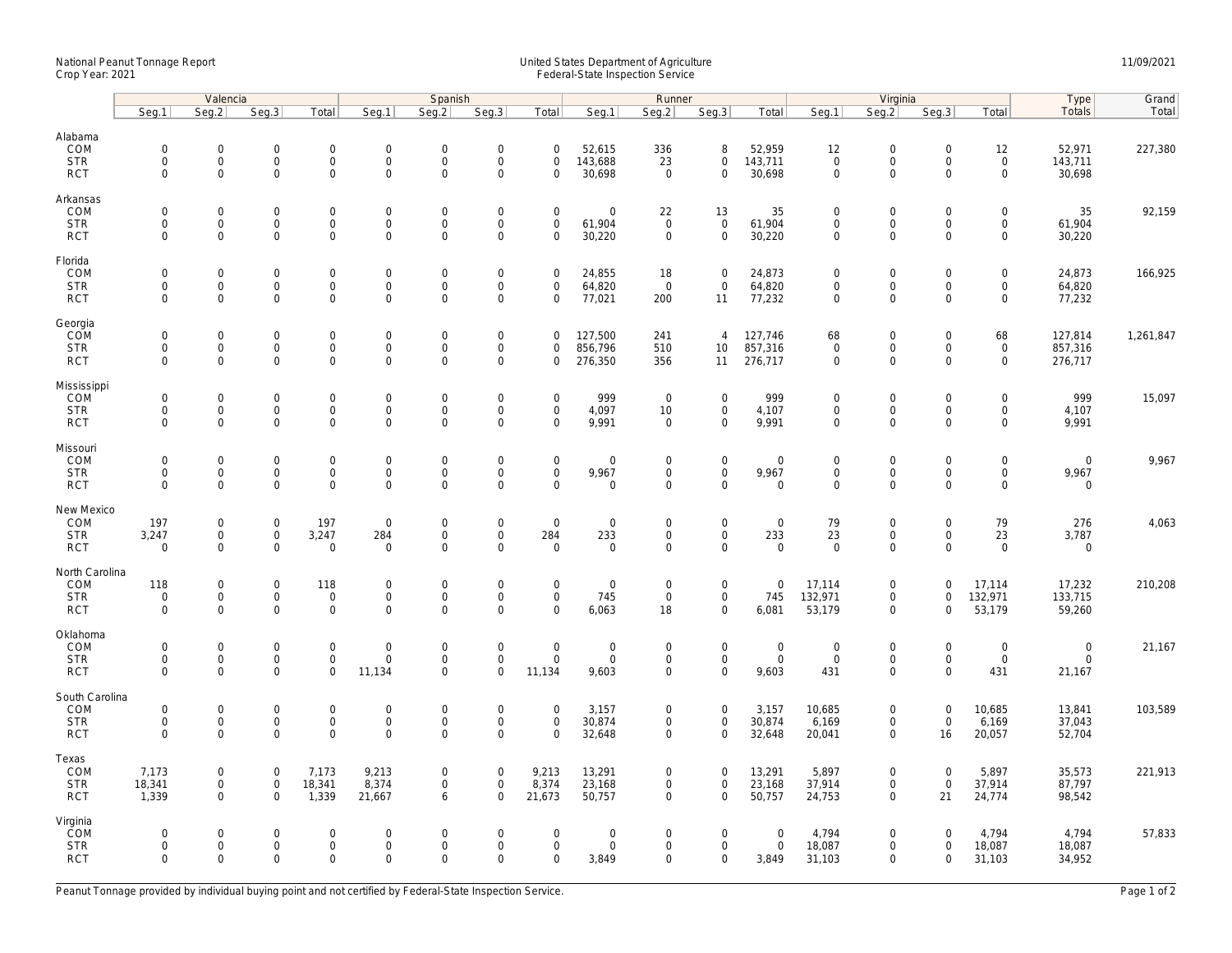## National Peanut Tonnage Report United States Department of Agriculture 11/09/2021<br>Crop Year: 2021 Federal-State Inspection Service

|                                                   | Valencia                                  |                                                           |                                           |                                                    | Spanish                                     |                                                   |                                                           |                                               |                                                   | Runner                                            |                                                            |                                      | Virginia                                                  |                                                           |                                           |                                                           | Type                                          | Grand     |
|---------------------------------------------------|-------------------------------------------|-----------------------------------------------------------|-------------------------------------------|----------------------------------------------------|---------------------------------------------|---------------------------------------------------|-----------------------------------------------------------|-----------------------------------------------|---------------------------------------------------|---------------------------------------------------|------------------------------------------------------------|--------------------------------------|-----------------------------------------------------------|-----------------------------------------------------------|-------------------------------------------|-----------------------------------------------------------|-----------------------------------------------|-----------|
|                                                   | Seg.1                                     | Seg.2                                                     | Seg.3                                     | Total                                              | Seg.1                                       | Seq.2                                             | Seg.3                                                     | Total                                         | Seg.1                                             | Seg.2                                             | Seg.3                                                      | Total                                | Seg.1                                                     | Seg.2                                                     | Seg.3                                     | Total                                                     | Totals                                        | Total     |
| Alabama<br>COM<br><b>STR</b><br><b>RCT</b>        | $\mathbf 0$<br>$\mathbf 0$<br>$\mathbf 0$ | 0<br>$\mathsf{O}\xspace$<br>$\mathbf{0}$                  | $\mathbf 0$<br>$\mathbf 0$<br>$\mathbf 0$ | $\mathsf{O}\xspace$<br>$\mathbf 0$<br>$\mathbf{0}$ | $\mathsf{O}$<br>$\mathbf 0$<br>$\mathbf 0$  | $\mathbf 0$<br>$\mathsf 0$<br>$\Omega$            | $\mathsf{O}\xspace$<br>$\mathsf{O}\xspace$<br>$\Omega$    | $\mathbf 0$<br>$\mathsf 0$<br>$\Omega$        | 52,615<br>143,688<br>30,698                       | 336<br>23<br>$\overline{0}$                       | 8<br>$\mathbf 0$<br>$\mathbf{0}$                           | 52,959<br>143,711<br>30,698          | 12<br>$\mathsf{O}\xspace$<br>$\mathbf 0$                  | $\mathbf 0$<br>$\mathsf{O}\xspace$<br>$\Omega$            | $\mathsf 0$<br>$\mathsf 0$<br>$\Omega$    | 12<br>$\mathbf 0$<br>$\mathbf{0}$                         | 52,971<br>143,711<br>30,698                   | 227,380   |
| Arkansas<br>COM<br><b>STR</b><br><b>RCT</b>       | $\mathbf 0$<br>$\mathbf 0$<br>$\mathbf 0$ | $\mathbf{0}$<br>$\mathbf 0$<br>$\mathbf 0$                | $\mathbf 0$<br>$\mathbf 0$<br>$\mathbf 0$ | $\mathbf 0$<br>0<br>$\mathbf 0$                    | $\mathsf{O}$<br>$\mathsf{O}$<br>$\mathbf 0$ | $\mathbf 0$<br>$\mathsf 0$<br>$\mathbf 0$         | $\mathbf 0$<br>$\mathsf{O}\xspace$<br>$\mathbf 0$         | $\mathbf 0$<br>$\mathsf 0$<br>$\mathbf 0$     | $\mathbf 0$<br>61,904<br>30,220                   | 22<br>$\overline{0}$<br>$\mathbf 0$               | 13<br>$\mathsf{O}\xspace$<br>$\mathbf 0$                   | 35<br>61,904<br>30,220               | $\mathbf 0$<br>$\mathsf{O}\xspace$<br>$\mathbf{0}$        | $\mathbf 0$<br>$\mathsf{O}\xspace$<br>$\mathbf 0$         | $\mathbf 0$<br>$\mathbf 0$<br>$\Omega$    | $\mathbf 0$<br>$\mathbf 0$<br>$\mathbf 0$                 | 35<br>61,904<br>30,220                        | 92,159    |
| Florida<br>COM<br><b>STR</b><br><b>RCT</b>        | $\mathbf 0$<br>$\mathbf 0$<br>$\mathbf 0$ | $\mathsf{O}\xspace$<br>$\mathsf{O}\xspace$<br>$\mathbf 0$ | $\mathbf 0$<br>$\mathbf 0$<br>$\mathbf 0$ | $\mathsf{O}\xspace$<br>$\mathbf 0$<br>$\mathbf 0$  | $\mathbf 0$<br>$\mathbf 0$<br>$\mathbf 0$   | $\mathbf 0$<br>$\mathbf 0$<br>$\mathbf 0$         | $\mathsf{O}\xspace$<br>$\mathsf{O}\xspace$<br>$\mathbf 0$ | $\mathsf 0$<br>0<br>$\mathbf 0$               | 24,855<br>64,820<br>77,021                        | 18<br>$\overline{0}$<br>200                       | $\mathsf{O}\xspace$<br>$\mathbf 0$<br>11                   | 24,873<br>64,820<br>77,232           | $\mathbf 0$<br>$\mathbf 0$<br>$\mathsf{O}\xspace$         | $\mathbf 0$<br>$\mathsf{O}\xspace$<br>$\mathbf 0$         | $\mathsf 0$<br>$\mathbf 0$<br>$\mathbf 0$ | $\mathsf{O}\xspace$<br>$\mathbf 0$<br>$\mathbf 0$         | 24,873<br>64,820<br>77,232                    | 166,925   |
| Georgia<br>COM<br><b>STR</b><br><b>RCT</b>        | $\mathbf 0$<br>$\mathbf 0$<br>$\mathbf 0$ | $\mathsf{O}\xspace$<br>$\mathsf{O}$<br>$\mathbf{0}$       | $\mathbf 0$<br>$\mathbf 0$<br>$\mathbf 0$ | $\mathsf{O}\xspace$<br>$\mathbf 0$<br>$\mathbf{0}$ | $\mathbf 0$<br>$\mathsf{O}$<br>$\mathbf 0$  | $\mathbf 0$<br>$\mathsf{O}\xspace$<br>$\mathbf 0$ | $\mathsf{O}\xspace$<br>$\mathsf 0$<br>$\mathbf 0$         | $\mathbf 0$<br>$\mathbf 0$<br>$\mathbf 0$     | 127,500<br>856,796<br>276,350                     | 241<br>510<br>356                                 | $\overline{4}$<br>10 <sup>°</sup><br>11                    | 127,746<br>857,316<br>276,717        | 68<br>$\mathsf 0$<br>$\mathbf 0$                          | $\mathsf{O}\xspace$<br>$\mathsf{O}\xspace$<br>$\mathbf 0$ | $\mathbf 0$<br>$\mathbf 0$<br>$\mathbf 0$ | 68<br>$\mathsf 0$<br>$\mathbf 0$                          | 127,814<br>857,316<br>276,717                 | 1,261,847 |
| Mississippi<br>COM<br><b>STR</b><br><b>RCT</b>    | $\mathbf 0$<br>$\mathbf 0$<br>$\mathbf 0$ | $\mathbf 0$<br>$\mathsf{O}\xspace$<br>$\mathbf 0$         | $\mathbf 0$<br>$\mathbf 0$<br>$\mathbf 0$ | $\mathbf{0}$<br>$\mathsf{O}$<br>$\mathbf 0$        | $\mathbf 0$<br>$\mathsf{O}$<br>$\mathbf 0$  | $\mathbf 0$<br>$\mathsf 0$<br>$\mathbf 0$         | $\mathbf 0$<br>$\mathsf{O}\xspace$<br>$\mathbf 0$         | $\mathbf 0$<br>0<br>$\mathbf 0$               | 999<br>4,097<br>9,991                             | $\mathbf 0$<br>10<br>$\mathbf 0$                  | $\mathbf 0$<br>$\mathbf 0$<br>$\mathbf 0$                  | 999<br>4,107<br>9,991                | $\mathbf 0$<br>$\mathsf{O}\xspace$<br>$\mathsf{O}\xspace$ | $\mathbf 0$<br>$\mathsf{O}\xspace$<br>$\mathbf 0$         | $\mathbf 0$<br>0<br>$\mathbf 0$           | $\mathbf 0$<br>$\mathsf{O}$<br>$\mathbf 0$                | 999<br>4,107<br>9,991                         | 15,097    |
| Missouri<br>COM<br><b>STR</b><br><b>RCT</b>       | $\mathbf 0$<br>$\mathbf 0$<br>$\Omega$    | $\mathsf{O}\xspace$<br>0<br>$\mathbf 0$                   | $\mathbf 0$<br>$\mathbf 0$<br>$\mathbf 0$ | $\mathsf{O}\xspace$<br>0<br>$\mathbf 0$            | $\mathbf 0$<br>$\mathbf 0$<br>$\mathbf 0$   | $\mathbf 0$<br>$\mathbf 0$<br>$\mathbf 0$         | $\mathsf{O}\xspace$<br>$\mathsf{O}\xspace$<br>$\mathbf 0$ | $\mathsf 0$<br>$\mathbf 0$<br>$\mathbf 0$     | $\mathsf{O}\xspace$<br>9,967<br>$\mathbf 0$       | $\mathbf 0$<br>$\mathbf 0$<br>$\mathbf 0$         | $\mathsf{O}\xspace$<br>$\mathsf{O}\xspace$<br>$\mathbf{0}$ | $\mathbf 0$<br>9,967<br>$\mathbf 0$  | $\mathbf 0$<br>$\mathbf 0$<br>$\mathbf 0$                 | $\mathsf{O}\xspace$<br>$\mathsf{O}\xspace$<br>$\mathbf 0$ | $\mathbf 0$<br>$\mathbf 0$<br>$\mathbf 0$ | $\mathsf{O}\xspace$<br>$\mathsf{O}\xspace$<br>$\mathbf 0$ | $\mathbf 0$<br>9,967<br>$\mathbf 0$           | 9,967     |
| New Mexico<br>COM<br><b>STR</b><br><b>RCT</b>     | 197<br>3,247<br>$\Omega$                  | $\mathsf{O}\xspace$<br>$\mathsf{O}\xspace$<br>$\Omega$    | $\mathbf 0$<br>$\mathbf 0$<br>$\mathbf 0$ | 197<br>3,247<br>$\mathsf{O}\xspace$                | $\boldsymbol{0}$<br>284<br>$\mathbf 0$      | $\mathbf 0$<br>$\mathbf 0$<br>$\mathbf 0$         | $\mathsf{O}\xspace$<br>$\mathbf 0$<br>$\Omega$            | $\mathsf 0$<br>284<br>$\Omega$                | $\mathsf{O}\xspace$<br>233<br>$\mathsf{O}\xspace$ | $\mathbf 0$<br>$\mathbf 0$<br>$\Omega$            | $\mathsf{O}\xspace$<br>$\mathbf 0$<br>$\mathsf{O}$         | $\mathbf 0$<br>233<br>$\mathsf 0$    | 79<br>23<br>$\mathbf 0$                                   | $\mathsf{O}\xspace$<br>$\mathbf 0$<br>$\mathsf{O}\xspace$ | $\mathsf 0$<br>$\mathbf 0$<br>$\Omega$    | 79<br>23<br>$\mathsf{O}\xspace$                           | 276<br>3,787<br>$\mathbf 0$                   | 4,063     |
| North Carolina<br>COM<br><b>STR</b><br><b>RCT</b> | 118<br>$\mathbf 0$<br>$\mathbf 0$         | 0<br>$\mathsf{O}\xspace$<br>$\mathbf 0$                   | $\mathbf 0$<br>$\mathbf 0$<br>$\mathbf 0$ | 118<br>$\mathbf{0}$<br>$\mathbf{0}$                | $\mathbf 0$<br>$\mathbf 0$<br>$\mathbf 0$   | $\mathbf 0$<br>$\mathbf 0$<br>$\mathbf 0$         | $\mathsf{O}\xspace$<br>$\mathsf 0$<br>$\Omega$            | $\mathbf 0$<br>$\mathbf 0$<br>$\Omega$        | $\mathbf 0$<br>745<br>6,063                       | $\mathbf 0$<br>$\mathbf 0$<br>18                  | $\mathbf 0$<br>$\mathbf{0}$<br>$\mathbf{0}$                | $\mathbf 0$<br>745<br>6,081          | 17,114<br>132,971<br>53,179                               | $\mathbf 0$<br>$\mathsf{O}$<br>$\mathbf 0$                | $\Omega$<br>$\mathbf 0$<br>$\Omega$       | 17,114<br>132,971<br>53,179                               | 17,232<br>133,715<br>59,260                   | 210,208   |
| Oklahoma<br>COM<br><b>STR</b><br><b>RCT</b>       | $\mathbf 0$<br>$\mathbf 0$<br>$\Omega$    | $\mathbf 0$<br>$\mathsf{O}\xspace$<br>$\mathbf 0$         | $\mathbf 0$<br>$\mathbf 0$<br>$\mathbf 0$ | $\mathbf{0}$<br>$\mathsf{O}\xspace$<br>$\mathbf 0$ | $\mathbf 0$<br>$\mathsf{O}$<br>11,134       | $\mathbf 0$<br>$\mathbf 0$<br>$\Omega$            | $\mathsf 0$<br>$\mathsf{O}\xspace$<br>$\Omega$            | $\mathbf{0}$<br>$\mathsf{O}\xspace$<br>11,134 | $\mathbf 0$<br>$\mathsf{O}\xspace$<br>9,603       | $\mathsf{O}\xspace$<br>$\mathbf 0$<br>$\mathbf 0$ | $\mathbf{0}$<br>$\mathsf 0$<br>$\mathbf 0$                 | $\mathsf{O}$<br>$\mathsf 0$<br>9,603 | $\mathbf 0$<br>$\mathsf{O}\xspace$<br>431                 | $\mathbf 0$<br>$\mathsf{O}$<br>$\mathbf 0$                | $\mathbf 0$<br>$\mathbf 0$<br>$\Omega$    | $\mathsf{O}\xspace$<br>$\mathsf{O}\xspace$<br>431         | $\mathsf{O}$<br>$\mathsf{O}\xspace$<br>21,167 | 21,167    |
| South Carolina<br>COM<br><b>STR</b><br><b>RCT</b> | $\mathbf 0$<br>$\mathbf 0$<br>$\mathbf 0$ | $\mathsf{O}\xspace$<br>0<br>$\mathbf 0$                   | $\mathbf 0$<br>$\mathbf 0$<br>$\mathbf 0$ | $\mathbf 0$<br>$\boldsymbol{0}$<br>$\mathsf{O}$    | $\mathbf 0$<br>$\mathbf 0$<br>$\mathbf 0$   | $\mathbf 0$<br>$\mathbf 0$<br>$\mathbf 0$         | $\mathsf{O}\xspace$<br>$\mathsf{O}\xspace$<br>$\mathbf 0$ | $\mathbf 0$<br>$\mathbf 0$<br>$\Omega$        | 3,157<br>30,874<br>32,648                         | 0<br>0<br>$\mathbf 0$                             | $\mathbf 0$<br>$\mathbf 0$<br>$\mathbf 0$                  | 3,157<br>30,874<br>32,648            | 10,685<br>6,169<br>20,041                                 | $\mathsf{O}\xspace$<br>$\mathsf{O}\xspace$<br>$\mathbf 0$ | $\mathbf{0}$<br>$\mathbf 0$<br>16         | 10,685<br>6,169<br>20,057                                 | 13,841<br>37,043<br>52,704                    | 103,589   |
| Texas<br>COM<br><b>STR</b><br><b>RCT</b>          | 7,173<br>18,341<br>1,339                  | $\mathbf 0$<br>$\mathsf{O}\xspace$<br>$\mathbf{0}$        | $\mathbf 0$<br>$\mathsf 0$<br>$\Omega$    | 7,173<br>18,341<br>1,339                           | 9,213<br>8,374<br>21,667                    | $\mathbf 0$<br>$\mathsf 0$<br>6                   | $\mathsf{O}\xspace$<br>$\mathsf{O}\xspace$<br>$\Omega$    | 9,213<br>8,374<br>21,673                      | 13,291<br>23,168<br>50,757                        | 0<br>0<br>$\mathbf 0$                             | $\mathbf 0$<br>$\mathbf 0$<br>$\mathbf 0$                  | 13,291<br>23,168<br>50,757           | 5,897<br>37,914<br>24,753                                 | $\mathbf 0$<br>$\mathsf{O}\xspace$<br>$\mathbf 0$         | $\mathbf 0$<br>$\mathsf 0$<br>21          | 5,897<br>37,914<br>24,774                                 | 35,573<br>87,797<br>98,542                    | 221,913   |
| Virginia<br>COM<br><b>STR</b><br><b>RCT</b>       | $\mathbf 0$<br>$\mathbf 0$<br>$\mathbf 0$ | $\mathbf{0}$<br>$\mathsf{O}\xspace$<br>$\mathbf 0$        | $\mathbf 0$<br>$\mathbf 0$<br>$\mathbf 0$ | $\mathbf 0$<br>$\mathsf{O}\xspace$<br>$\mathbf 0$  | $\mathbf 0$<br>$\mathsf{O}$<br>$\mathbf 0$  | $\mathbf 0$<br>$\mathsf 0$<br>$\Omega$            | $\mathbf 0$<br>$\mathsf{O}\xspace$<br>$\mathbf 0$         | $\mathbf 0$<br>$\mathsf 0$<br>$\mathbf 0$     | $\mathbf 0$<br>$\mathsf{O}\xspace$<br>3,849       | 0<br>0<br>0                                       | $\mathbf 0$<br>$\mathbf 0$<br>$\mathbf 0$                  | $\mathbf 0$<br>$\mathsf{O}$<br>3,849 | 4,794<br>18,087<br>31,103                                 | $\mathbf 0$<br>$\mathsf{O}\xspace$<br>$\mathbf 0$         | $\Omega$<br>$\mathbf 0$<br>$\mathbf 0$    | 4,794<br>18,087<br>31,103                                 | 4,794<br>18,087<br>34,952                     | 57,833    |

Peanut Tonnage provided by individual buying point and not certified by Federal-State Inspection Service. Page 1 of 2